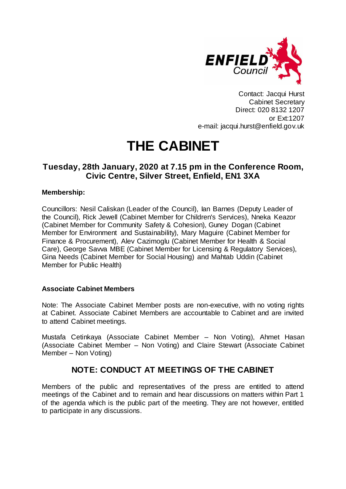

Contact: Jacqui Hurst Cabinet Secretary Direct: 020 8132 1207 or Ext:1207 e-mail: jacqui.hurst@enfield.gov.uk

# **THE CABINET**

# **Tuesday, 28th January, 2020 at 7.15 pm in the Conference Room, Civic Centre, Silver Street, Enfield, EN1 3XA**

# **Membership:**

Councillors: Nesil Caliskan (Leader of the Council), Ian Barnes (Deputy Leader of the Council), Rick Jewell (Cabinet Member for Children's Services), Nneka Keazor (Cabinet Member for Community Safety & Cohesion), Guney Dogan (Cabinet Member for Environment and Sustainability), Mary Maguire (Cabinet Member for Finance & Procurement), Alev Cazimoglu (Cabinet Member for Health & Social Care), George Savva MBE (Cabinet Member for Licensing & Regulatory Services), Gina Needs (Cabinet Member for Social Housing) and Mahtab Uddin (Cabinet Member for Public Health)

## **Associate Cabinet Members**

Note: The Associate Cabinet Member posts are non-executive, with no voting rights at Cabinet. Associate Cabinet Members are accountable to Cabinet and are invited to attend Cabinet meetings.

Mustafa Cetinkaya (Associate Cabinet Member – Non Voting), Ahmet Hasan (Associate Cabinet Member – Non Voting) and Claire Stewart (Associate Cabinet Member – Non Voting)

# **NOTE: CONDUCT AT MEETINGS OF THE CABINET**

Members of the public and representatives of the press are entitled to attend meetings of the Cabinet and to remain and hear discussions on matters within Part 1 of the agenda which is the public part of the meeting. They are not however, entitled to participate in any discussions.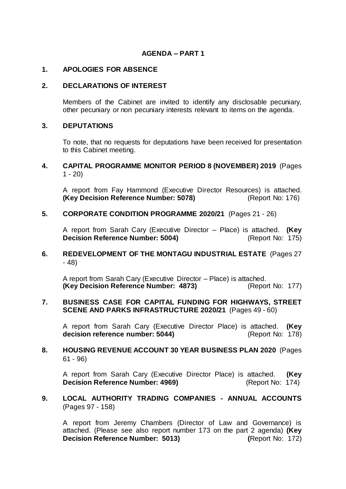# **AGENDA – PART 1**

#### **1. APOLOGIES FOR ABSENCE**

#### **2. DECLARATIONS OF INTEREST**

Members of the Cabinet are invited to identify any disclosable pecuniary, other pecuniary or non pecuniary interests relevant to items on the agenda.

#### **3. DEPUTATIONS**

To note, that no requests for deputations have been received for presentation to this Cabinet meeting.

## **4. CAPITAL PROGRAMME MONITOR PERIOD 8 (NOVEMBER) 2019** (Pages  $1 - 20$

A report from Fay Hammond (Executive Director Resources) is attached.<br>(Key Decision Reference Number: 5078) (Report No: 176) **(Key Decision Reference Number: 5078)** 

#### **5. CORPORATE CONDITION PROGRAMME 2020/21** (Pages 21 - 26)

A report from Sarah Cary (Executive Director – Place) is attached. **(Key Decision Reference Number: 5004)** (Report No: 175)

# **6. REDEVELOPMENT OF THE MONTAGU INDUSTRIAL ESTATE** (Pages 27 - 48)

A report from Sarah Cary (Executive Director – Place) is attached. **(Key Decision Reference Number: 4873)** (Report No: 177)

#### **7. BUSINESS CASE FOR CAPITAL FUNDING FOR HIGHWAYS, STREET SCENE AND PARKS INFRASTRUCTURE 2020/21** (Pages 49 - 60)

A report from Sarah Cary (Executive Director Place) is attached. **(Key**  decision reference number: 5044) (Report No: 178)

## **8. HOUSING REVENUE ACCOUNT 30 YEAR BUSINESS PLAN 2020** (Pages 61 - 96)

A report from Sarah Cary (Executive Director Place) is attached. **(Key Decision Reference Number: 4969)** (Report No: 174)

#### **9. LOCAL AUTHORITY TRADING COMPANIES - ANNUAL ACCOUNTS**  (Pages 97 - 158)

A report from Jeremy Chambers (Director of Law and Governance) is attached. (Please see also report number 173 on the part 2 agenda) **(Key Decision Reference Number: 5013)** (Report No: 172)